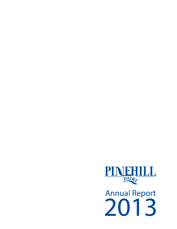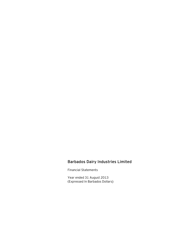# Barbados Dairy Industries Limited

Financial Statements

Year ended 31 August 2013 (Expressed In Barbados Dollars)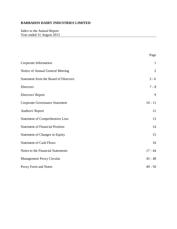Index to the Annual Report Year ended 31 August 2013

|                                              | Page           |
|----------------------------------------------|----------------|
| Corporate Information                        | $\mathbf{1}$   |
| Notice of Annual General Meeting             | $\overline{2}$ |
| <b>Statement from the Board of Directors</b> | $3 - 6$        |
| <b>Directors</b>                             | $7 - 8$        |
| Directors' Report                            | 9              |
| <b>Corporate Governance Statement</b>        | $10 - 11$      |
| <b>Auditors' Report</b>                      | 12             |
| <b>Statement of Comprehensive Loss</b>       | 13             |
| <b>Statement of Financial Position</b>       | 14             |
| <b>Statement of Changes in Equity</b>        | 15             |
| <b>Statement of Cash Flows</b>               | 16             |
| Notes to the Financial Statements            | $17 - 44$      |
| <b>Management Proxy Circular</b>             | $45 - 48$      |
| Proxy Form and Notes                         | $49 - 50$      |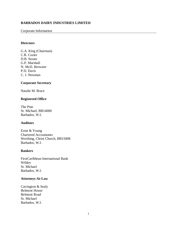#### Corporate Information

#### **Directors**

G.A. King (Chairman) C.R. Cozier D.B. Stoute G.P. Marshall N. McD. Brewster P.D. Davis C. J. Newman

#### **Corporate Secretary**

Natalie M. Brace

#### **Registered Office**

The Pine St. Michael, BB14000 Barbados, W.I.

#### **Auditors**

Ernst & Young Chartered Accountants Worthing, Christ Church, BB15008 Barbados, W.I.

#### **Bankers**

FirstCaribbean International Bank Wildey St. Michael Barbados, W.I.

#### **Attorneys-At-Law**

Carrington & Sealy Belmont House Belmont Road St. Michael Barbados, W.I.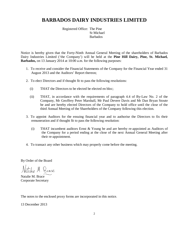Registered Office: The Pine St Michael Barbados

Notice is hereby given that the Forty-Ninth Annual General Meeting of the shareholders of Barbados Dairy Industries Limited ('the Company') will be held at the **Pine Hill Dairy, Pine, St. Michael, Barbados,** on 13 January 2014 at 10:00 a.m. for the following purposes:

- 1. To receive and consider the Financial Statements of the Company for the Financial Year ended 31 August 2013 and the Auditors' Report thereon;
- 2. To elect Directors and if thought fit to pass the following resolutions:
	- (i) THAT the Directors to be elected be elected en bloc;
	- (ii) THAT, in accordance with the requirements of paragraph 4.4 of By-Law No. 2 of the Company, Mr Geoffrey Peter Marshall, Mr Paul Devere Davis and Mr Dan Bryan Stoute be and are hereby elected Directors of the Company to hold office until the close of the third Annual Meeting of the Shareholders of the Company following this election.
- 3. To appoint Auditors for the ensuing financial year and to authorise the Directors to fix their remuneration and if thought fit to pass the following resolution:
	- (i) THAT incumbent auditors Ernst & Young be and are hereby re-appointed as Auditors of the Company for a period ending at the close of the next Annual General Meeting after their re-appointment.
- 4. To transact any other business which may properly come before the meeting.

By Order of the Board

talie M. Brace

Natalie M. Brace Corporate Secretary

The notes to the enclosed proxy forms are incorporated in this notice.

13 December 2013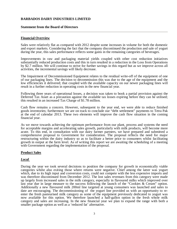#### **Statement from the Board of Directors**

#### **Financial Overview**

Sales were relatively flat as compared with 2012 despite some increases in volume for both the domestic and export markets. Considering the fact that the company discontinued the production and sale of yogurt during the year, this sales performance reflects some gains in the remaining categories of beverages.

Improvements in raw and packaging material yields coupled with other cost reduction initiatives substantially reduced production costs and this in turn resulted in a reduction in the Loss from Operations by \$2.7 million. We will continue to strive for further savings in this regard but as we improve across all activities, the incremental savings will likely decrease.

The Impairment of Decommissioned Equipment relates to the residual write-off of the equipment of one of our packaging lines. The decision to decommission this was due to the age of the equipment and the low efficiencies it delivered; that coupled with the available capacity on our newer packaging lines will result in a further reduction in operating costs in the new financial year.

Following three years of operational losses, a decision was taken to book a partial provision against the Deferred Tax Asset as a precaution against the available tax losses expiring before they can be utilised; this resulted in an increased Tax Charge of \$1.78 million.

Cash flow remains a concern. However, subsequent to the year end, we were able to reduce finished goods inventories; furthermore we are on track to conclude our "debt settlement" payments to Tetra Pak at the end of calendar 2013. These two elements will improve the cash flow situation in the coming financial year.

As we move towards achieving the optimum performance from our plant, process and systems the need for acceptable margins and accelerating sales growth, particularly with milk products, will become more acute. To this end, in consultation with our dairy farmer partners, we have prepared and submitted a comprehensive proposal to Government for consideration. The proposal reflects the need for major restructuring within the dairy industry so as to facilitate a better price to consumers whilst facilitating growth in output at the farm level. As of writing this report we are awaiting the scheduling of a meeting with Government regarding the implementation of the proposal.

#### **Product Sales**

#### *Local*

During the year we took several decisions to position the company for growth in economically viable categories whilst also exiting those where returns were negative. Chief among the latter was yogurt which, due to its high input and conversion costs, could not compete with the less expensive imports and was therefore discontinued from December 2012. The lost sales revenues from this category were made up largely from increased sales in the milk category, especially in flavoured milks which improved over last year due in large measure to the success following the launch of the "Cookies & Cream" option. Additionally a new flavoured milk 200ml line targeted at young consumers was launched and sales to date are encouraging. The decommissioning of the yogurt line provided us with an opportunity to reenter the fresh pasteurised milk category as some of the equipment previously dedicated to yogurt was now available for this option. We therefore launched a half-gallon option in the fresh whole milk category and sales are increasing. In the new financial year we plan to expand the range with both a smaller package option as well as a 'reduced fat' alternative.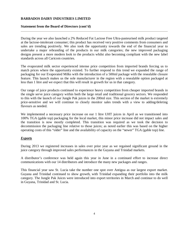#### **Statement from the Board of Directors (cont'd)**

During the year we also launched a 2% Reduced Fat Lactose Free Ultra-pasteurised milk product targeted at the lactose-intolerant consumer; this product has received very positive comments from consumers and sales are trending positively. We also took the opportunity towards the end of the financial year to undertake a major rebranding of the products in our milk categories; the new improved packaging designs present a more modern look to the products whilst also becoming compliant with the new label standards across all Caricom countries.

The evaporated milk sector experienced intense price competition from imported brands forcing us to match prices where the opportunity existed. To further respond to this trend we expanded the range of packaging for our Evaporated Milks with the introduction of a 500ml package with the resealable closure feature. This launch makes us the sole manufacturer in the region with a resealable option packaged at less than 1 litre and we expect that this will result in growth for us in that category.

Our range of juice products continued to experience heavy competition from cheaper imported brands in the single serve juice category within both the large retail and traditional grocery sectors. We responded to this with the launch of our Jungle Pak juices in the 200ml size. This section of the market is extremely price-sensitive and we will continue to closely monitor sales trends with a view to adding/deleting flavours as needed.

We implemented a necessary price increase on our 1 litre UHT juices in April as we transitioned into 100% TGA (gable top) packaging for the local market, this minor price increase did not impact sales and the transition is now mostly completed. This transition was required as we took the decision to decommission the packaging line relative to those juices; as noted earlier this was based on the higher operating costs of this "older" line and the availability of capacity on the "newer" TGA (gable top) line.

#### *Exports*

During 2013 we registered increases in sales over prior year as we regained significant ground in the juice category through improved sales performances in the Guyana and Trinidad markets.

A distributor's conference was held again this year in June in a continued effort to increase direct communications with our 14 distributors and introduce the many new packages and ranges.

This financial year saw St. Lucia take the number one spot over Antigua as our largest export market. Guyana and Trinidad continued to show growth, with Trinidad expanding their portfolio into the milk category. The Jungle Pak Juices were introduced into export territories in March and continue to do well in Guyana, Trinidad and St. Lucia.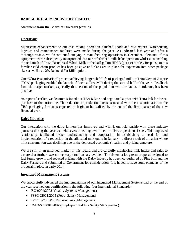#### **Statement from the Board of Directors (cont'd)**

#### **Operations**

Significant enhancements to our case mixing operation, finished goods and raw material warehousing logistics and maintenance facilities were made during the year. As indicated last year and after a thorough review, we discontinued our yogurt manufacturing operations in December. Elements of this equipment were subsequently incorporated into our refurbished milkshake operation whilst also enabling the re-launch of Fresh Pasteurised Whole Milk in the half-gallon HDPE (plastic) bottles. Response to this familiar cold chain product has been positive and plans are in place for expansion into other package sizes as well as a 2% Reduced Fat Milk option.

Our "Ultra Pasteurisation" process achieving longer shelf life of packaged milk in Tetra Gemini Aseptic (TGA) packaging enabled the launch of Lactose Free Milk during the second half of the year. Feedback from the target market, especially that section of the population who are lactose intolerant, has been positive.

As reported earlier, we decommissioned our TBA 8 Line and negotiated a price with Tetra Pak for the repurchase of the entire line. The reduction in production costs associated with the discontinuation of the TBA packaging format is expected to begin to be realised by the end of the first quarter of the new financial year.

#### **Dairy Initiative**

Our interaction with the dairy farmers has improved and with it our relationship with these industry partners; during the year we held several meetings with them to discuss pertinent issues. This improved relationship facilitated better understanding and cooperation in establishing a need for and implementation of a reduction in the allocated milk quota in January; a direct result of a market where milk consumption was declining due to the depressed economic situation and pricing structure.

We are still in an unsettled market in this regard and are carefully monitoring milk intake and sales to ensure that further excess inventory situations are avoided. To this end a long term proposal designed to fuel future growth and reduced pricing with the Dairy Industry has been co-authored by Pine Hill and the Dairy Farmers and submitted to Government for consideration. It is hoped to have some elements of the proposal in place in early 2014.

#### **Integrated Management Systems**

We successfully advanced the implementation of our Integrated Management Systems and at the end of the year received our certification in the following four International Standards:

- ISO 9001:2008 (Quality Systems Management)
- FSSC 22001:2005 (Food Safety Management)
- ISO 14001:2004 (Environmental Management)
- OSHAS 18001:2007 (Employee Health & Safety Management)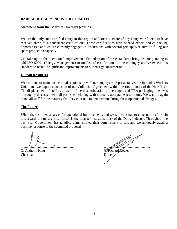#### **Statement from the Board of Directors (cont'd)**

We are the only such certified Dairy in this region and are not aware of any Dairy world-wide to have received these four concurrent certifications. These certifications have opened export and co-packing opportunities and we are currently engaged in discussions with several principals relative to filling our spare production capacity.

Capitalizing on the operational improvements that adoption of these standards bring, we are planning to add ISO 50001 (Energy Management) to our list of certifications in the coming year. We expect this standard to result in significant improvements to our energy consumption.

#### **Human Resources**

We continue to maintain a cordial relationship with our employees' representative, the Barbados Workers Union and we expect conclusion of our Collective Agreement within the first months of the New Year. The displacement of staff as a result of the discontinuation of the yogurt and TBA packaging lines was thoroughly discussed with all parties concluding with mutually acceptable resolutions. We wish to again thank all staff for the maturity that they continue to demonstrate during these operational changes.

#### **The Future**

While there still exists areas for operational improvements and we will continue to concentrate efforts in this regard, the most critical factor is the long term sustainability of the Dairy Industry. Throughout the past year Government has tangibly demonstrated their commitment to this and we anxiously await a positive response to the submitted proposal.

G. Anthony King  $\mathcal{C}$ . Richard Cozier Chairman Director

............................................................. .....................................................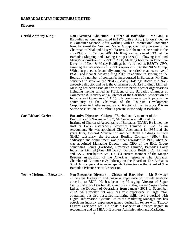**Directors**

| <b>Gerald Anthony King -</b>       | <b>Non-Executive Chairman</b> – Citizen of Barbados – Mr King, a<br>Barbadian national, graduated in 1975 with a B.Sc. (Honours) degree<br>in Computer Science. After working with an international computer<br>firm, he joined the Neal and Massy Group, eventually becoming the<br>Chairman of Neal and Massy's Eastern Caribbean business unit in the<br>mid-1990's. In October 2004 Mr King was appointed CEO of the<br>Barbados Shipping and Trading Group (BS&T). Following Neal and<br>Massy's acquisition of BS&T in 2008, Mr King became an Executive<br>Director of Neal & Massy Holdings but remained as BS&T's CEO,<br>assisting the integration of BS&T's operations into the N&M Group.<br>With that process substantially complete, he retired as an executive of<br>BS&T and Neal & Massy during 2012. In addition to serving on the<br>Boards of a number of companies incorporated in Barbados, Mr King<br>continues to serve on the Neal & Massy Holdings Board as a Non-<br>executive director and he is the Chairman of Banks Holdings Limited.<br>Mr King has been associated with various private sector organisations<br>including having served as President of the Barbados Chamber of<br>Commerce & Industry and a Director of the Caribbean Association of<br>Industry and Commerce (CAIC). He continues to participate in the<br>community as the Chairman of the Tourism Development<br>Corporation in Barbados and as a Director of the Barbados Private<br>Sector Association, the umbrella private sector body in Barbados. |
|------------------------------------|--------------------------------------------------------------------------------------------------------------------------------------------------------------------------------------------------------------------------------------------------------------------------------------------------------------------------------------------------------------------------------------------------------------------------------------------------------------------------------------------------------------------------------------------------------------------------------------------------------------------------------------------------------------------------------------------------------------------------------------------------------------------------------------------------------------------------------------------------------------------------------------------------------------------------------------------------------------------------------------------------------------------------------------------------------------------------------------------------------------------------------------------------------------------------------------------------------------------------------------------------------------------------------------------------------------------------------------------------------------------------------------------------------------------------------------------------------------------------------------------------------------------------------------------------------------|
| <b>Carl Richard Cozier -</b>       | <b>Executive Director – Citizen of Barbados - A member of the</b><br>Board since 13 November 1997, Mr Cozier is a Fellow of the<br>Institute of Chartered Accountants of Barbados (ICAB). He joined the<br>staff at Banks (Barbados) Breweries Limited in 1979 as an<br>Accountant. He was appointed Chief Accountant in 1985 and six<br>years later, General Manager of another Banks Holdings Limited<br>(BHL) subsidiary, the Barbados Bottling Company (BBC). His<br>dedication and commitment was further rewarded in 1999, when he<br>was appointed Managing Director and CEO of the BHL Group<br>comprising Banks (Barbados) Breweries Limited, Barbados Dairy<br>Industries Limited (Pine Hill Dairy), Barbados Bottling Co. Limited<br>and B&B Distribution Ltd. He is a current member of the Master<br>Brewers Association of the Americas, represents The Barbados<br>Chamber of Commerce & Industry on the Board of The Barbados<br>Stock Exchange and is an independent director on the Board of The<br>Barbados Private Sector Association.                                                                                                                                                                                                                                                                                                                                                                                                                                                                                                   |
| <b>Neville McDonald Brewster -</b> | Non-Executive Director - Citizen of Barbados - Mr Brewster<br>utilises his leadership and business experience to provide strategic<br>direction to BDIL. He has been the Managing Director of Super<br>Centre Ltd since October 2012 and prior to this, served Super Centre<br>Ltd as the Director of Operations from January 2001 to September<br>2012. Mr Brewster not only has vast experience in large retail<br>operations; but also possesses marketing skills having worked with<br>Digital Information Systems Ltd as the Marketing Manager and has<br>petroleum industry experience gained during his tenure with Texaco<br>Eastern Caribbean Ltd. He holds a Bachelor of Science degree in<br>Accounting and an MBA in Business Administration and Marketing.                                                                                                                                                                                                                                                                                                                                                                                                                                                                                                                                                                                                                                                                                                                                                                                      |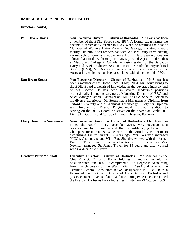## **Directors (cont'd)**

| <b>Paul Devere Davis -</b>       | Non-Executive Director - Citizen of Barbados - Mr Davis has been<br>a member of the BDIL Board since 1997. A former sugar farmer, he<br>became a career dairy farmer in 1983, when he assumed the post of<br>Manager of Walkers Dairy Farm in St. George, a state-of-the-art<br>facility. His public spiritedness has seen Walkers Dairy Farm hosting<br>various school tours as a way of ensuring that future generations are<br>educated about dairy farming. Mr Davis pursued Agricultural studies<br>at Macdonald College in Canada. A Past-President of the Barbados<br>Dairy and Beef Producers Association of the Barbados Agricultural<br>Society (BAS), Mr Davis continues to serve as a member of the<br>Association, which he has been associated with since the mid-1980s. |
|----------------------------------|----------------------------------------------------------------------------------------------------------------------------------------------------------------------------------------------------------------------------------------------------------------------------------------------------------------------------------------------------------------------------------------------------------------------------------------------------------------------------------------------------------------------------------------------------------------------------------------------------------------------------------------------------------------------------------------------------------------------------------------------------------------------------------------|
| Dan Bryan Stoute -               | Non-Executive Director – Citizen of Barbados – Mr Stoute has<br>been a member of the Board since 10 May 2004. Mr Stoute brings to<br>the BDIL Board a wealth of knowledge in the beverage industry and<br>business sector. He has been in several leadership positions<br>professionally including serving as Managing Director of BBC and<br>Sales Manager/General Manager at TMR Sales & Service. Added to<br>his diverse experience, Mr Stoute has a Management Diploma from<br>Oxford University and a Chemical Technology - Polymer Diploma<br>with Honours from Ryerson Polytechnical Institute. In addition to<br>serving on the BDIL Board, he serves on the boards of Banks DIH<br>Limited in Guyana and Caribco Limited in Nassau, Bahamas.                                  |
| <b>Chiryl Josephine Newman -</b> | <b>Non-Executive Director – Citizen of Barbados – Mrs. Newman</b><br>joined the Board on 19 December 2011. Mrs. Newman is a<br>restauranteur by profession and the owner/Managing Director of<br>Champers Restaurant & Wine Bar on the South Coast. Prior to<br>establishing the restaurant 16 years ago, Mrs. Newman managed<br>NICO's Champagne and Wine Bar. She also worked with the former<br>Board of Tourism and in the travel sector in various capacities. Mrs.<br>Newman managed St. James Travel for 14 years and also worked<br>with Gardner Austin Travel.                                                                                                                                                                                                                |
| <b>Geoffrey Peter Marshall -</b> | <b>Executive Director – Citizen of Barbados - Mr Marshall is the</b><br>Chief Financial Officer of Banks Holdings Limited and has held this<br>position since June 2007. He completed a BSc. Degree in Accounting<br>from the University of the West Indies in 1994 and attained the<br>Certified General Accountant (CGA) designation in 1998. He is a<br>Fellow of the Institute of Chartered Accountants of Barbados and<br>possesses over 19 years of audit and accounting experience. He joined<br>the Board of Barbados Dairy Industries Limited on 29 October 2009.                                                                                                                                                                                                             |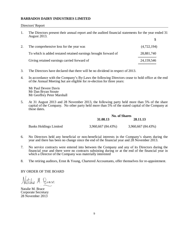#### Directors' Report

1. The Directors present their annual report and the audited financial statements for the year ended 31 August 2013.

| The comprehensive loss for the year was                         | (4,722,194) |
|-----------------------------------------------------------------|-------------|
| To which is added restated retained earnings brought forward of | 28,881,740  |
| Giving retained earnings carried forward of                     | 24,159,546  |

- 3. The Directors have declared that there will be no dividend in respect of 2013.
- 4. In accordance with the Company's By-Laws the following Directors cease to hold office at the end of the Annual Meeting but are eligible for re-election for three years:

 Mr Paul Devere Davis Mr Dan Bryan Stoute Mr Geoffrey Peter Marshall

5. At 31 August 2013 and 28 November 2013, the following party held more than 5% of the share capital of the Company. No other party held more than 5% of the stated capital of the Company at those dates.

|                               |                    | <b>No. of Shares</b> |  |  |
|-------------------------------|--------------------|----------------------|--|--|
|                               | 31.08.13           | 28.11.13             |  |  |
| <b>Banks Holdings Limited</b> | 3,960,667 (84.43%) | 3,960,667 (84.43%)   |  |  |

- 6. No Directors held any beneficial or non-beneficial interests in the Company's shares during the year and there has been no change since the end of the financial year and 28 November 2013.
- 7. No service contracts were entered into between the Company and any of its Directors during the financial year and there were no contracts subsisting during or at the end of the financial year in which a Director of the Company was materially interested
- 8. The retiring auditors, Ernst & Young, Chartered Accountants, offer themselves for re-appointment.

#### BY ORDER OF THE BOARD

talie M. Brace

Natalie M. Brace Corporate Secretary 28 November 2013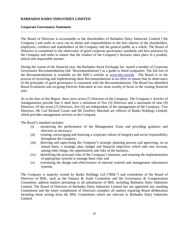#### **Corporate Governance Statement**

The Board of Directors is accountable to the shareholders of Barbados Dairy Industries Limited ('the Company') and seeks to carry out its duties and responsibilities in the best interest of the shareholders, employees, creditors and stakeholders of the Company and the general public as a whole. The Board of Directors is committed to the observance of good corporate governance standards and best practices by the Company and seeks to ensure that the conduct of the Company's business takes place in a prudent, ethical and responsible manner.

During the course of the financial year, the Barbados Stock Exchange Inc. issued a number of Corporate Governance Recommendations (the 'Recommendations') as a guide to listed companies. The full text of the Recommendations is available on the BSE's website at [www.bse.com.bb](http://www.bse.com.bb/) . The Board is in the process of reviewing and implementing these Recommendations in an effort to ensure that its observance of the principles of good governance is consistent with the Recommendations. The Board has identified Board Evaluation and on-going Director Education as two areas worthy of focus in the coming financial year.

As at the date of this Report, there were seven (7) Directors of the Company. The Company's Articles of Amalgamation provide that it shall have a minimum of five (5) Directors and a maximum of nine (9) Directors. Of the seven (7) Directors, five (5) are independent of the management of the Company. Two Directors, Mr Carl Richard Cozier and Mr Geoffrey Marshall are officers of Banks Holdings Limited, which provides management services to the Company.

The Board's mandate includes:

- (i) monitoring the performance of the Management Team and providing guidance and direction as necessary;
- (ii) creating, encouraging and fostering a corporate culture of integrity and social responsibility throughout the Company;
- (iii) directing and supervising the Company's strategic planning process and approving, on an annual basis, a strategic plan, budget and financial objectives which take into account, among other things, the opportunities and risks of the business;
- (iv) identifying the principal risks of the Company's business, and ensuring the implementation of appropriate systems to manage these risks and
- (v) overseeing the design and effectiveness of internal controls and management information systems.

The Company is majority owned by Banks Holdings Ltd ("BHL") and committees of the Board of Directors of BHL, such as the Finance & Audit Committee and the Governance & Compensation Committee, address matters pertaining to all subsidiaries of BHL including Barbados Dairy Industries Limited. The Board of Directors of Barbados Dairy Industries Limited has not appointed any standing Committees and the entire complement of Directors considers all matters requiring Board deliberation including those arising from the BHL Committees which are relevant to Barbados Dairy Industries Limited.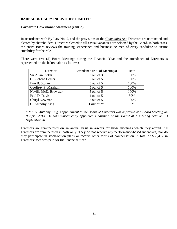#### **Corporate Governance Statement (cont'd)**

In accordance with By-Law No. 2, and the provisions of the *Companies Act*, Directors are nominated and elected by shareholders. Directors elected to fill casual vacancies are selected by the Board. In both cases, the entire Board reviews the training, experience and business acumen of every candidate to ensure suitability for the role.

There were five (5) Board Meetings during the Financial Year and the attendance of Directors is represented on the below table as follows:

| Director              | Attendance (No. of Meetings) | Rate |
|-----------------------|------------------------------|------|
| Sir Allan Fields      | 3 out of 3                   | 100% |
| C. Richard Cozier     | 5 out of 5                   | 100% |
| Dan B. Stoute         | 5 out of 5                   | 100% |
| Geoffrey P. Marshall  | 5 out of 5                   | 100% |
| Neville McD. Brewster | 5 out of 5                   | 100% |
| Paul D. Davis         | 4 out of 5                   | 80%  |
| Chiryl Newman         | 5 out of 5                   | 100% |
| G. Anthony King       | 1 out of $2^*$               | 50%  |

\* *Mr. G. Anthony King's appointment to the Board of Directors was approved at a Board Meeting on 9 April 2013. He was subsequently appointed Chairman of the Board at a meeting held on 13 September 2013.*

Directors are remunerated on an annual basis in arrears for those meetings which they attend. All Directors are remunerated in cash only. They do not receive any performance-based incentives, nor do they participate in stock-option plans or receive other forms of compensation. A total of \$56,417 in Directors' fees was paid for the Financial Year.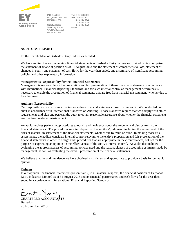

P.O. Box 261, Bridgetown, BB11000 Fax: 246 426 9551 Barbados, W.I. Street Address Worthing, Christ Church, BB15008 Barbados, W.I. Tel: 246 430 3900 246 426 0472 246 435 2079 246 430 3879 ey.com

#### **AUDITORS' REPORT**

To the Shareholders of Barbados Dairy Industries Limited

We have audited the accompanying financial statements of Barbados Dairy Industries Limited, which comprise the statement of financial position as of 31 August 2013 and the statement of comprehensive loss, statement of changes in equity and statement of cash flows for the year then ended, and a summary of significant accounting policies and other explanatory information.

#### **Management's Responsibility for the Financial Statements**

Management is responsible for the preparation and fair presentation of these financial statements in accordance with International Financial Reporting Standards, and for such internal control as management determines is necessary to enable the preparation of financial statements that are free from material misstatement, whether due to fraud or error.

#### **Auditors' Responsibility**

Our responsibility is to express an opinion on these financial statements based on our audit. We conducted our audit in accordance with International Standards on Auditing. Those standards require that we comply with ethical requirements and plan and perform the audit to obtain reasonable assurance about whether the financial statements are free from material misstatement.

An audit involves performing procedures to obtain audit evidence about the amounts and disclosures in the financial statements. The procedures selected depend on the auditors' judgment, including the assessment of the risks of material misstatement of the financial statements, whether due to fraud or error. In making those risk assessments, the auditor considers internal control relevant to the entity's preparation and fair presentation of the financial statements in order to design audit procedures that are appropriate in the circumstances, but not for the purpose of expressing an opinion on the effectiveness of the entity's internal control. An audit also includes evaluating the appropriateness of accounting policies used and the reasonableness of accounting estimates made by management, as well as evaluating the overall presentation of the financial statements.

We believe that the audit evidence we have obtained is sufficient and appropriate to provide a basis for our audit opinion.

#### **Opinion**

In our opinion, the financial statements present fairly, in all material respects, the financial position of Barbados Dairy Industries Limited as of 31 August 2013 and its financial performance and cash flows for the year then ended in accordance with International Financial Reporting Standards.

Ernst+ Young

CHARTERED ACCOUNTANTS Barbados 28 November 2013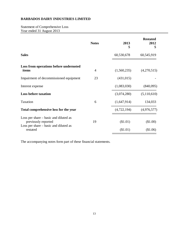Statement of Comprehensive Loss Year ended 31 August 2013

|                                                                                                                   | <b>Notes</b>   | 2013<br>\$           | <b>Restated</b><br>2012<br>\$ |
|-------------------------------------------------------------------------------------------------------------------|----------------|----------------------|-------------------------------|
| <b>Sales</b>                                                                                                      |                | 60,530,678           | 60,545,919                    |
| Loss from operations before undernoted<br>items                                                                   | $\overline{4}$ | (1,560,235)          | (4,270,515)                   |
| Impairment of decommissioned equipment                                                                            | 23             | (431, 015)           |                               |
| Interest expense                                                                                                  |                | (1,083,030)          | (840,095)                     |
| <b>Loss before taxation</b>                                                                                       |                | (3,074,280)          | (5,110,610)                   |
| Taxation                                                                                                          | 6              | (1,647,914)          | 134,033                       |
| Total comprehensive loss for the year                                                                             |                | (4,722,194)          | (4,976,577)                   |
| Loss per share – basic and diluted as<br>previously reported<br>Loss per share – basic and diluted as<br>restated | 19             | (\$1.01)<br>(\$1.01) | (\$1.00)<br>(\$1.06)          |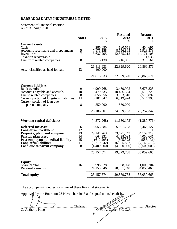#### Statement of Financial Position As of 31 August 2013

|                                                                         | <b>Notes</b>  | 2013<br>S                          | <b>Restated</b><br>2012<br>S       | <b>Restated</b><br>2011<br>\$        |
|-------------------------------------------------------------------------|---------------|------------------------------------|------------------------------------|--------------------------------------|
| <b>Current assets</b>                                                   |               |                                    |                                    |                                      |
| Cash<br>Accounts receivable and prepayments<br>Inventories              | $\frac{5}{7}$ | 286,050<br>7,175,158<br>13,637,295 | 180,658<br>8,556,865<br>12,875,212 | 454,691<br>5,928,573<br>14, 171, 108 |
| <b>Taxation recoverable</b><br>Due from related companies               | 8             | 315,130                            | 716,885                            | 1,638<br>313,561                     |
| Asset classified as held for sale                                       | 23            | 21,413,633<br>400,000              | 22,329,620                         | 20,869,571                           |
|                                                                         |               | 21,813,633                         | 22,329,620                         | 20,869,571                           |
| <b>Current liabilities</b>                                              |               |                                    |                                    |                                      |
| Bank overdraft                                                          | 9             | 4,999,268                          | 3,439,975                          | 3,678,328                            |
| Accounts payable and accruals                                           | 10            | 9,479,735                          | 10,436,534                         | 9,518,729                            |
| Due to related companies                                                | 8             | 5,056,256                          | 3,063,310                          | 2,515,897                            |
| Current portion of long-term liabilities<br>Current portion of loan due | 11            | 6,101,342                          | 6,519,974                          | 6,544,393                            |
| to parent company                                                       | 8             | 550,000                            | 550,000                            |                                      |
|                                                                         |               | 26,186,601                         | 24,009,793                         | 22, 257, 347                         |
| <b>Working capital deficiency</b>                                       |               | (4,372,968)                        | (1,680,173)                        | (1,387,776)                          |
| Deferred tax asset<br>Long-term investment                              | 6<br>12       | 3,953,884                          | 5,601,798                          | 5,466,127                            |
| <b>Property, plant and equipment</b><br><b>Pension plan asset</b>       | 13<br>14      | 29, 141, 763<br>4,664,231          | 33,671,243<br>4,428,094            | 34,159,319<br>4,050,641              |
| Post-employment medical liability                                       | 15            | (610, 295)                         | (605, 328)                         | (585, 131)                           |
| Long-term liabilities                                                   | 11            | (3,219,042)                        | (6,585,867)                        | (4, 143, 516)                        |
| Loan due to parent company                                              | 8             | (4,400,000)                        | (4,950,000)                        | (2,500,000)                          |
|                                                                         |               | 25, 157, 574                       | 29,879,768                         | 35,059,665                           |
| <b>Equity</b>                                                           |               |                                    |                                    |                                      |
| Share capital<br>Retained earnings                                      | 16            | 998,028<br>24,159,546              | 998,028<br>28,881,740              | 1,006,204<br>34,053,461              |
| <b>Total equity</b>                                                     |               | 25, 157, 574                       | 29,879,768                         | 35,059,665                           |
|                                                                         |               |                                    |                                    |                                      |

| Approved by the Board on 28 November 2013 and signed on its behalf by: |                         |          |
|------------------------------------------------------------------------|-------------------------|----------|
| Chairman<br>G. Anthony King                                            | A. Cozier F.C.G.A<br>14 | Director |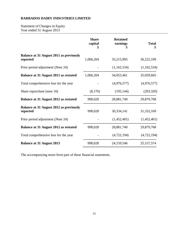Statement of Changes in Equity Year ended 31 August 2013

|                                                            | <b>Share</b><br>capital<br>S | <b>Retained</b><br>earnings<br>S | <b>Total</b><br>\$ |
|------------------------------------------------------------|------------------------------|----------------------------------|--------------------|
| <b>Balance at 31 August 2011 as previously</b><br>reported | 1,006,204                    | 35,215,995                       | 36,222,199         |
| Prior period adjustment (Note 24)                          |                              | (1,162,534)                      | (1,162,534)        |
| Balance at 31 August 2011 as restated                      | 1,006,204                    | 34,053,461                       | 35,059,665         |
| Total comprehensive loss for the year                      |                              | (4,976,577)                      | (4,976,577)        |
| Share repurchase (note 16)                                 | (8,176)                      | (195, 144)                       | (203, 320)         |
| Balance at 31 August 2012 as restated                      | 998,028                      | 28,881,740                       | 29,879,768         |
| <b>Balance at 31 August 2012 as previously</b><br>reported | 998,028                      | 30,334,141                       | 31, 332, 169       |
| Prior period adjustment (Note 24)                          |                              | (1,452,401)                      | (1,452,401)        |
| Balance at 31 August 2012 as restated                      | 998,028                      | 28,881,740                       | 29,879,768         |
| Total comprehensive loss for the year                      |                              | (4,722,194)                      | (4,722,194)        |
| <b>Balance at 31 August 2013</b>                           | 998,028                      | 24,159,546                       | 25, 157, 574       |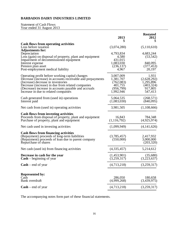#### Statement of Cash Flows Year ended 31 August 2013

|                                                                                                                                                                                                                                                                                                          | 2013<br>S                                                                 | <b>Restated</b><br>2012<br>\$                                         |
|----------------------------------------------------------------------------------------------------------------------------------------------------------------------------------------------------------------------------------------------------------------------------------------------------------|---------------------------------------------------------------------------|-----------------------------------------------------------------------|
| <b>Cash flows from operating activities</b><br>Loss before taxation<br><b>Adjustments for:</b>                                                                                                                                                                                                           | (3,074,280)                                                               | (5,110,610)                                                           |
| Depreciation<br>Loss (gain) on disposal of property, plant and equipment<br>Impairment of decommissioned equipment<br>Interest expense<br>Pension plan asset<br>Post-employment medical liability                                                                                                        | 4,793,834<br>4,580<br>431,015<br>1,083,030<br>(236, 137)<br>4,967         | 4,683,244<br>(53, 542)<br>840,095<br>(377, 453)<br>20,197             |
| Operating profit before working capital changes<br>Decrease (increase) in accounts receivable and prepayments<br>(Increase) decrease in inventories<br>Decrease (increase) in due from related companies<br>(Decrease) increase in accounts payable and accruals<br>Increase in due to related companies | 3,007,009<br>1,381,707<br>(762,083)<br>401,755<br>(956, 799)<br>1,992,946 | 1,931<br>(2,628,292)<br>1,295,896<br>(403, 324)<br>917,805<br>547,413 |
| Cash generated from (used in) operations<br>Interest paid                                                                                                                                                                                                                                                | 5,064,535<br>(1,083,030)                                                  | (268, 571)<br>(840,095)                                               |
| Net cash from (used in) operating activities                                                                                                                                                                                                                                                             | 3,981,505                                                                 | (1,108,666)                                                           |
| <b>Cash flows from investing activities</b><br>Proceeds from disposal of property, plant and equipment<br>Purchase of property, plant and equipment                                                                                                                                                      | 16,843<br>(1, 116, 792)                                                   | 784,348<br>(4,925,974)                                                |
| Net cash used in investing activities                                                                                                                                                                                                                                                                    | (1,099,949)                                                               | (4,141,626)                                                           |
| <b>Cash flows from financing activities</b><br>(Repayment) proceeds of long-term liabilities<br>(Repayment) proceeds of loan due to parent company<br>Repurchase of shares                                                                                                                               | (3,785,457)<br>(550,000)                                                  | 2,417,932<br>3,000,000<br>(203, 320)                                  |
| Net cash (used in) from financing activities                                                                                                                                                                                                                                                             | (4,335,457)                                                               | 5,214,612                                                             |
| Decrease in cash for the year<br>$\mathbf{Cash} - \mathbf{begining}$ of year                                                                                                                                                                                                                             | (1,453,901)<br>(3,259,317)                                                | (35,680)<br>(3,223,637)                                               |
| $Cash - end of year$                                                                                                                                                                                                                                                                                     | (4,713,218)                                                               | (3,259,317)                                                           |
| <b>Represented by:</b><br>Cash<br>Bank overdraft                                                                                                                                                                                                                                                         | 286,050<br>(4,999,268)                                                    | 180,658<br>(3,439,975)                                                |
| $Cash - end of year$                                                                                                                                                                                                                                                                                     | (4,713,218)                                                               | (3,259,317)                                                           |
|                                                                                                                                                                                                                                                                                                          |                                                                           |                                                                       |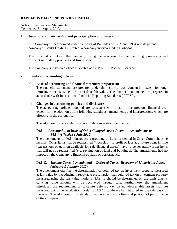Notes to the Financial Statements Year ended 31 August 2013

#### **1. Incorporation, ownership and principal place of business**

The Company is incorporated under the Laws of Barbados on 12 March 1964 and its parent company is Banks Holdings Limited, a company incorporated in Barbados.

The principal activity of the Company during the year was the manufacturing, processing and distribution of dairy products and fruit juices.

The Company's registered office is located at the Pine, St. Michael, Barbados.

#### **2. Significant accounting policies**

#### **a] Basis of accounting and financial statement preparation**

The financial statements are prepared under the historical cost convention except for longterm investments, which are carried at fair value. The financial statements are prepared in accordance with International Financial Reporting Standards ("IFRS").

#### **b] Changes in accounting policies and disclosures**

The accounting policies adopted are consistent with those of the previous financial year except for the adoption of the following standards, amendments and interpretations which are effective in the current year:

The adoption of the standards or interpretations is described below:

#### **IAS 1 –** *Presentation of items of Other Comprehensive Income – Amendments to IAS 1 (effective 1 July 2012)*

The amendments to IAS 1 introduce a grouping of items presented in Other Comprehensive income (OCI). Items that be reclassified ("recycled') to profit or loss at a future point in time (e.g net loss or gain on available for sale financial assets) have to be separately from items that will not be reclassified (e.g, revaluation of land and buildings). The amendments had no impact on the Company's financial position or performance.

#### **IAS 12 –** *Income Taxes (Amendment) – Deferred Taxes: Recovery of Underlying Assets (effective 1 January 2012)*

The amendment clarifies the determination of deferred tax on investment property measured at fair value by introducing a rebuttable presumption that deferred tax on investment property measured using the fair value model in IAS 40 should be determined on the basis that its carrying value amount will be recovered through sale. Furthermore, the amendment introduces the requirement to calculate deferred tax on non-depreciable assets that are measured using the revaluation model in IAS 16 to always be measured on the sale basis of the asset. The adoption of this standard had no effect of the financial position of performance of the Company.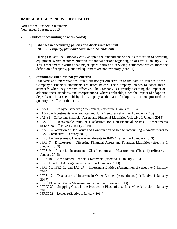Notes to the Financial Statements Year ended 31 August 2013

#### **2. Significant accounting policies (cont'd)**

## **b] Changes in accounting policies and disclosures (cont'd) IAS 16 –** *Property, plant and equipment (Amendment)*

During the year the Company early adopted the amendment on the classification of servicing equipment, which becomes effective for annual periods beginning on or after 1 January 2013. This amendment clarifies that major spare parts and servicing equipment which meet the definition of property, plant and equipment are not inventory (note 24).

#### **c] Standards issued but not yet effective**

Standards and interpretations issued but not yet effective up to the date of issuance of the Company's financial statements are listed below. The Company intends to adopt these standards when they become effective. The Company is currently assessing the impact of adopting these standards and interpretations, where applicable, since the impact of adoption depends on the assets held by the Company at the date of adoption. It is not practical to quantify the effect at this time.

- IAS 19 Employee Benefits (Amendment) (effective 1 January 2013)
- IAS 28 Investments in Associates and Joint Ventures (effective 1 January 2013)
- IAS 32 Offsetting Financial Assets and Financial Liabilities (effective 1 January 2014)
- IAS 36 Recoverable Amount Disclosures for Non-Financial Assets Amendments to IAS 36 (effective 1 January 2014)
- IAS 39 Novation of Derivative and Continuation of Hedge Accounting Amendments to IAS 39 (effective 1 January 2014)
- IFRS 1 Government Loans Amendments to IFRS 1 (effective 1 January 2013)
- IFRS 7 Disclosures Offsetting Financial Assets and Financial Liabilities (effective 1) January 2013)
- IFRS 9 Financial Instruments: Classification and Measurement (Phase 1) (effective 1 January 2015)
- IFRS 10 Consolidated Financial Statements (effective 1 January 2013)
- IFRS 11 Joint Arrangements (effective 1 January 2013)
- IFRS 10, IFRS 12 and IAS 27 Investment Entities (Amendments) (effective 1 January 2014)
- IFRS 12 Disclosure of Interests in Other Entities (Amendments) (effective 1 January 2013)<br>• IFRS 13 – Fair Value Measurement (effective 1 January 2013)
- 
- IFRIC 20 Stripping Costs in the Production Phase of a surface Mine (effective 1 January 2013)
- IFRIC 21 Levies (effective 1 January 2014)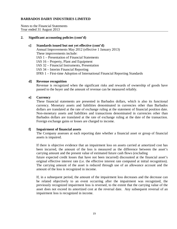Notes to the Financial Statements Year ended 31 August 2013

#### **2. Significant accounting policies (cont'd)**

#### **c] Standards issued but not yet effective (cont'd)**

Annual Improvements May 2012 (effective 1 January 2013) These improvements include: IAS 1 – Presentation of Financial Statements IAS 16 – Property, Plant and Equipment IAS 32 – Financial Instruments, Presentation IAS 34 – Interim Financial Reporting IFRS 1 – First-time Adoption of International Financial Reporting Standards

#### **d] Revenue recognition**

Revenue is recognized when the significant risks and rewards of ownership of goods have passed to the buyer and the amount of revenue can be measured reliably.

#### **e] Currency**

These financial statements are presented in Barbados dollars, which is also its functional currency. Monetary assets and liabilities denominated in currencies other than Barbados dollars are translated at the rate of exchange ruling at the statement of financial position date. Non-monetary assets and liabilities and transactions denominated in currencies other than Barbados dollars are translated at the rate of exchange ruling at the date of the transaction. Foreign exchange gains or losses are charged to income.

#### **f] Impairment of financial assets**

The Company assesses at each reporting date whether a financial asset or group of financial assets is impaired.

If there is objective evidence that an impairment loss on assets carried at amortized cost has been incurred, the amount of the loss is measured as the difference between the asset's carrying amount and the present value of estimated future cash flows (excluding

future expected credit losses that have not been incurred) discounted at the financial asset's original effective interest rate (i.e. the effective interest rate computed at initial recognition). The carrying amount of the asset is reduced through use of an allowance account and the amount of the loss is recognized in income.

If, in a subsequent period, the amount of the impairment loss decreases and the decrease can be related objectively to an event occurring after the impairment was recognized, the previously recognized impairment loss is reversed, to the extent that the carrying value of the asset does not exceed its amortized cost at the reversal date. Any subsequent reversal of an impairment loss is recognized in income.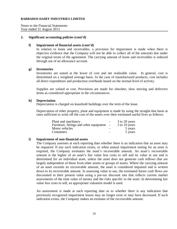Notes to the Financial Statements Year ended 31 August 2013

#### **2. Significant accounting policies (cont'd)**

#### **f] Impairment of financial assets (cont'd)**

In relation to loans and receivables, a provision for impairment is made when there is objective evidence that the Company will not be able to collect all of the amounts due under the original terms of the agreement. The carrying amount of loans and receivables is reduced through use of an allowance account.

#### **g] Inventories**

Inventories are stated at the lower of cost and net realizable value. In general, cost is determined on a weighted average basis. In the case of manufactured products, cost includes all direct expenditure and production overheads based on the normal level of activity.

Supplies are valued at cost. Provisions are made for obsolete, slow moving and defective items as considered appropriate in the circumstances.

#### **h] Depreciation**

Depreciation is charged on leasehold buildings over the term of the lease.

Depreciation of other property, plant and equipment is made by using the straight-line basis at rates sufficient to write off the cost of the assets over their estimated useful lives as follows:

| Plant and machinery                     |                          | 3 to 20 years |
|-----------------------------------------|--------------------------|---------------|
| Furniture, fittings and other equipment | $\sim$                   | 3 to 10 years |
| Motor vehicles                          |                          | 5 years       |
| Containers                              | $\overline{\phantom{0}}$ | 5 years       |

#### **i] Impairment of non-financial assets**

The Company assesses at each reporting date whether there is an indication that an asset may be impaired. If any such indication exists, or when annual impairment testing for an asset is required, the Company estimates the asset's recoverable amount. An asset's recoverable amount is the higher of an asset's fair value less costs to sell and its value in use and is determined for an individual asset, unless the asset does not generate cash inflows that are largely independent of those from other assets or groups of assets. Where the carrying amount of an asset exceeds its recoverable amount, the asset is considered impaired and is written down to its recoverable amount. In assessing value in use, the estimated future cash flows are discounted to their present value using a pre-tax discount rate that reflects current market assessments of the time value of money and the risks specific to the asset. In determining fair value less costs to sell, an appropriate valuation model is used.

An assessment is made at each reporting date as to whether there is any indication that previously recognized impairment losses may no longer exist or may have decreased. If such indication exists, the Company makes an estimate of the recoverable amount.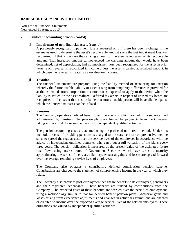Notes to the Financial Statements Year ended 31 August 2013

#### **2. Significant accounting policies (cont'd)**

#### **i] Impairment of non-financial assets (cont'd)**

A previously recognized impairment loss is reversed only if there has been a change in the estimates used to determine the asset's recoverable amount since the last impairment loss was recognized. If that is the case the carrying amount of the asset is increased to its recoverable amount. That increased amount cannot exceed the carrying amount that would have been determined, net of depreciation, had no impairment loss been recognized for the asset in prior years. Such reversal is recognized in income unless the asset is carried at revalued amount, in which case the reversal is treated as a revaluation increase.

#### **j] Taxation**

The financial statements are prepared using the liability method of accounting for taxation whereby the future taxable liability or asset arising from temporary differences is provided for at the estimated future corporation tax rate that is expected to apply to the period when the liability is settled or the asset realized. Deferred tax assets in respect of unused tax losses are recognized to the extent that it is probable that future taxable profits will be available against which the unused tax losses can be utilized.

#### **k] Pensions**

The Company operates a defined benefit plan, the assets of which are held in a separate fund administered by Trustees. The pension plans are funded by payments from the Company taking into account the recommendations of independent qualified actuaries.

The pension accounting costs are accrued using the projected unit credit method. Under this method, the cost of providing pensions is charged to the statement of comprehensive income so as to spread the regular cost over the service lives of the employees in accordance with the advice of independent qualified actuaries who carry out a full valuation of the plans every three years. The pension obligation is measured as the present value of the estimated future cash flows using interest rates of Government Securities which have terms to maturity approximating the terms of the related liability. Actuarial gains and losses are spread forward over the average remaining service lives of employees.

The Company also operates a contributory defined contribution pension scheme. Contributions are charged to the statement of comprehensive income in the year to which they relate.

The Company also provides post-employment healthcare benefits to its employees, pensioners and their registered dependants. These benefits are funded by contributions from the Company. The expected costs of these benefits are accrued over the period of employment, using a methodology similar to that for defined benefit pension plans. Actuarial gains and losses arising from experience adjustments and changes in actuarial assumptions are charged or credited to income over the expected average service lives of the related employees. These obligations are valued by independent qualified actuaries.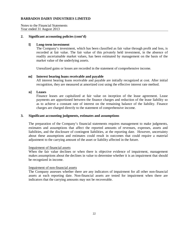Notes to the Financial Statements Year ended 31 August 2013

#### **2. Significant accounting policies (cont'd)**

#### **l] Long-term investment**

The Company's investment, which has been classified as fair value through profit and loss, is recorded at fair value. The fair value of this privately held investment, in the absence of readily ascertainable market values, has been estimated by management on the basis of the market value of the underlying assets.

Unrealized gains or losses are recorded in the statement of comprehensive income.

#### **m] Interest bearing loans receivable and payable**

All interest bearing loans receivable and payable are initially recognized at cost. After initial recognition, they are measured at amortized cost using the effective interest rate method.

#### **n] Leases**

Finance leases are capitalized at fair value on inception of the lease agreement. Lease payments are apportioned between the finance charges and reduction of the lease liability so as to achieve a constant rate of interest on the remaining balance of the liability. Finance charges are charged directly to the statement of comprehensive income.

#### **3. Significant accounting judgments, estimates and assumptions**

The preparation of the Company's financial statements requires management to make judgments, estimates and assumptions that affect the reported amounts of revenues, expenses, assets and liabilities, and the disclosure of contingent liabilities, at the reporting date. However, uncertainty about these assumptions and estimates could result in outcomes that could require a material adjustment to the carrying amount of the asset or liability affected in the future.

#### Impairment of financial assets

When the fair value declines or when there is objective evidence of impairment, management makes assumptions about the declines in value to determine whether it is an impairment that should be recognized in income.

#### Impairment of non-financial assets

The Company assesses whether there are any indicators of impairment for all other non-financial assets at each reporting date. Non-financial assets are tested for impairment when there are indicators that the carrying amounts may not be recoverable.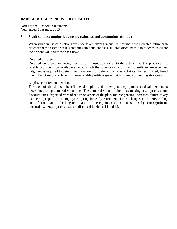Notes to the Financial Statements Year ended 31 August 2013

#### **3. Significant accounting judgments, estimates and assumptions (cont'd)**

When value in use calculations are undertaken, management must estimate the expected future cash flows from the asset or cash-generating unit and choose a suitable discount rate in order to calculate the present value of those cash flows.

#### Deferred tax assets

Deferred tax assets are recognized for all unused tax losses to the extent that it is probable that taxable profit will be available against which the losses can be utilized. Significant management judgment is required to determine the amount of deferred tax assets that can be recognized, based upon likely timing and level of future taxable profits together with future tax planning strategies.

#### Employee retirement benefits

The cost of the defined benefit pension plan and other post-employment medical benefits is determined using actuarial valuations. The actuarial valuation involves making assumptions about discount rates, expected rates of return on assets of the plan, futuree pension increases, future salary increases, proportion of employees opting for early retirement, future changes in the NIS ceiling and inflation. Due to the long-term nature of these plans, such estimates are subject to significant uncertainty. Assumptions used are disclosed in Notes 14 and 15.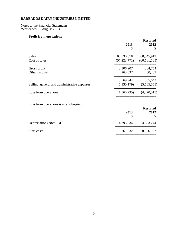Notes to the Financial Statements Year ended 31 August 2013

## **4. Profit from operations**

|                                              | 2013<br>\$     | <b>Restated</b><br>2012<br>\$ |
|----------------------------------------------|----------------|-------------------------------|
| <b>Sales</b>                                 | 60,530,678     | 60,545,919                    |
| Cost of sales                                | (57, 223, 771) | (60, 161, 165)                |
| Gross profit                                 | 3,306,907      | 384,754                       |
| Other income                                 | 263,037        | 480,289                       |
|                                              | 3,569,944      | 865,043                       |
| Selling, general and administrative expenses | (5, 130, 179)  | (5, 135, 558)                 |
| Loss from operations                         | (1,560,235)    | (4,270,515)                   |
| Loss from operations is after charging:      |                |                               |
|                                              | 2013           | <b>Restated</b><br>2012       |
|                                              | \$             | \$                            |
| Depreciation (Note 13)                       | 4,793,834      | 4,683,244                     |
| Staff costs                                  | 8,261,332      | 8,506,957                     |

========================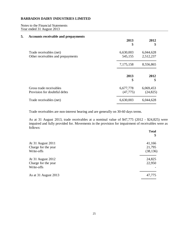Notes to the Financial Statements Year ended 31 August 2013

#### **5. Accounts receivable and prepayments**

|                                                              | 2013<br>\$             | 2012<br>\$             |
|--------------------------------------------------------------|------------------------|------------------------|
| Trade receivables (net)<br>Other receivables and prepayments | 6,630,003<br>545,155   | 6,044,628<br>2,512,237 |
|                                                              | 7,175,158              | 8,556,865              |
|                                                              | 2013<br>\$             | 2012<br>\$             |
| Gross trade receivables<br>Provision for doubtful debts      | 6,677,778<br>(47, 775) | 6,069,453<br>(24, 825) |
| Trade receivables (net)                                      | 6,630,003              | 6,044,628              |

Trade receivables are non-interest bearing and are generally on 30-60 days terms.

As at 31 August 2013, trade receivables at a nominal value of \$47,775 (2012 - \$24,825) were impaired and fully provided for. Movements in the provision for impairment of receivables were as follows:

|                      | <b>Total</b><br>\$ |
|----------------------|--------------------|
| At 31 August 2011    | 41,166             |
| Charge for the year  | 21,795             |
| Write-offs           | (38, 136)          |
| At 31 August 2012    | 24,825             |
| Charge for the year  | 22,950             |
| Write-offs           |                    |
| As at 31 August 2013 | 47,775             |
|                      |                    |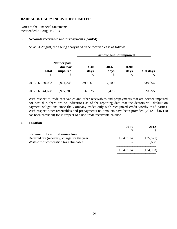Notes to the Financial Statements Year ended 31 August 2013

#### **5. Accounts receivable and prepayments (cont'd)**

As at 31 August, the ageing analysis of trade receivables is as follows:

|      |                    |                                                  | Past due but not impaired |                         |                     |                  |
|------|--------------------|--------------------------------------------------|---------------------------|-------------------------|---------------------|------------------|
|      | <b>Total</b><br>\$ | <b>Neither past</b><br>due nor<br>impaired<br>\$ | $<$ 30<br>days<br>\$      | $30 - 60$<br>days<br>\$ | 60-90<br>days<br>\$ | $>90$ days<br>\$ |
| 2013 | 6,630,003          | 5,974,348                                        | 399,661                   | 17,100                  |                     | 238,894          |
| 2012 | 6,044,628          | 5,977,283                                        | 37,575                    | 9,475                   |                     | 20,295           |

With respect to trade receivables and other receivables and prepayments that are neither impaired nor past due, there are no indications as of the reporting date that the debtors will default on payment obligations since the Company trades only with recognized credit worthy third parties. With respect other receivables and prepayments no amounts have been provided (2012 - \$46,110) has been provided) for in respect of a non-trade receivable balance.

#### **6. Taxation**

|                                             | 2013      | 2012       |
|---------------------------------------------|-----------|------------|
|                                             |           |            |
| <b>Statement of comprehensive loss</b>      |           |            |
| Deferred tax (recovery) charge for the year | 1,647,914 | (135,671)  |
| Write-off of corporation tax refundable     |           | 1,638      |
|                                             | 1,647,914 | (134, 033) |
|                                             |           |            |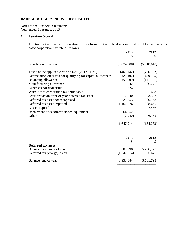Notes to the Financial Statements Year ended 31 August 2013

## **6. Taxation (cont'd)**

The tax on the loss before taxation differs from the theoretical amount that would arise using the basic corporation tax rate as follows:

|                                                              | 2013<br>S   | 2012<br>\$  |
|--------------------------------------------------------------|-------------|-------------|
| Loss before taxation                                         | (3,074,280) | (5,110,610) |
| Taxed at the applicable rate of 15% (2012 - 15%)             | (461, 142)  | (766, 592)  |
| Depreciation on assets not qualifying for capital allowances | (23, 492)   | (39, 935)   |
| Balancing allowance                                          | (56,099)    | (141, 161)  |
| Manufacturing allowance                                      | 19,542      | 86,271      |
| Expenses not deductible                                      | 1,724       |             |
| Write-off of corporation tax refundable                      |             | 1,638       |
| Over-provision of prior year deferred tax asset              | 216,940     | 83,332      |
| Deferred tax asset not recognized                            | 725,753     | 280,148     |
| Deferred tax asset impaired                                  | 1,162,076   | 308,645     |
| Losses expired                                               |             | 7,466       |
| Impairment of decommissioned equipment                       | 64,652      |             |
| Other                                                        | (2,040)     | 46,155      |
|                                                              | 1,647,914   | (134, 033)  |
|                                                              | 2013        | 2012        |
|                                                              | S           | \$          |
| <b>Deferred tax asset</b>                                    |             |             |
| Balance, beginning of year                                   | 5,601,798   | 5,466,127   |
| Deferred tax (charge) credit                                 | (1,647,914) | 135,671     |
| Balance, end of year                                         | 3,953,884   | 5,601,798   |
|                                                              |             |             |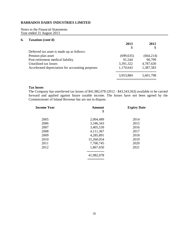Notes to the Financial Statements Year ended 31 August 2013

### **6. Taxation (cont'd)**

|                                                  | 2013       | 2012       |
|--------------------------------------------------|------------|------------|
|                                                  |            | \$         |
| Deferred tax asset is made up as follows:        |            |            |
| Pension plan asset                               | (699, 635) | (664, 214) |
| Post-retirement medical liability                | 91,544     | 90,799     |
| Unutilized tax losses                            | 3,391,322  | 4,787,630  |
| Accelerated depreciation for accounting purposes | 1,170,643  | 1,387,583  |
|                                                  | 3,953,884  | 5,601,798  |
|                                                  |            |            |

#### **Tax losses**

The Company has unrelieved tax losses of \$41,982,078 (2012 - \$43,543,563) available to be carried forward and applied against future taxable income. The losses have not been agreed by the Commissioner of Inland Revenue but are not in dispute.

| <b>Income Year</b> | <b>Amount</b> | <b>Expiry Date</b> |
|--------------------|---------------|--------------------|
|                    | \$            |                    |
| 2005               | 2,004,489     | 2014               |
| 2006               | 3,346,343     | 2015               |
| 2007               | 3,405,539     | 2016               |
| 2008               | 4,111,367     | 2017               |
| 2009               | 4,285,891     | 2018               |
| 2010               | 15,260,054    | 2019               |
| 2011               | 7,700,745     | 2020               |
| 2012               | 1,867,650     | 2021               |
|                    |               |                    |
|                    | 41,982,078    |                    |
|                    |               |                    |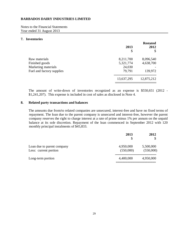Notes to the Financial Statements Year ended 31 August 2013

#### **7. Inventories**

|                           |            | <b>Restated</b> |
|---------------------------|------------|-----------------|
|                           | 2013       | 2012            |
|                           | \$         | \$              |
| Raw materials             | 8,211,700  | 8,096,540       |
| Finished goods            | 5,321,774  | 4,638,700       |
| Marketing materials       | 24,030     |                 |
| Fuel and factory supplies | 79,791     | 139,972         |
|                           | 13,637,295 | 12,875,212      |
|                           |            |                 |

The amount of write-down of inventories recognized as an expense is \$550,651 (2012 - \$1,241,207). This expense is included in cost of sales as disclosed in Note 4.

#### **8. Related party transactions and balances**

The amounts due from/to related companies are unsecured, interest-free and have no fixed terms of repayment. The loan due to the parent company is unsecured and interest-free, however the parent company reserves the right to charge interest at a rate of prime minus 1% per annum on the unpaid balance at its sole discretion. Repayment of the loan commenced in September 2012 with 120 monthly principal instalments of \$45,833.

|                            | 2013      | 2012      |
|----------------------------|-----------|-----------|
|                            | \$        |           |
| Loan due to parent company | 4,950,000 | 5,500,000 |
| Less: current portion      | (550,000) | (550,000) |
| Long-term portion          | 4,400,000 | 4,950,000 |
|                            |           |           |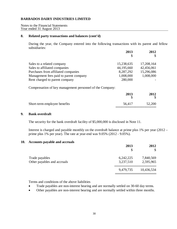Notes to the Financial Statements Year ended 31 August 2013

#### **8. Related party transactions and balances (cont'd)**

During the year, the Company entered into the following transactions with its parent and fellow subsidiaries:

|                                        | 2013       | 2012       |
|----------------------------------------|------------|------------|
|                                        | S          |            |
| Sales to a related company             | 15,238,635 | 17,208,164 |
| Sales to affiliated companies          | 44,195,660 | 42,456,061 |
| Purchases from affiliated companies    | 8,287,292  | 15,296,086 |
| Management fees paid to parent company | 1,008,000  | 1,008,000  |
| Rent charged to parent company         | 280,000    |            |

Compensation of key management personnel of the Company:

|                              | 2013   | 2012   |
|------------------------------|--------|--------|
| Short-term employee benefits | 56,417 | 52,200 |

## **9. Bank overdraft**

The security for the bank overdraft facility of \$5,000,000 is disclosed in Note 11.

Interest is charged and payable monthly on the overdraft balance at prime plus 1% per year (2012 – prime plus 1% per year). The rate at year-end was 9.05% (2012 - 9.05%).

#### **10. Accounts payable and accruals**

|                                               | 2013<br>\$             | 2012<br>\$             |
|-----------------------------------------------|------------------------|------------------------|
| Trade payables<br>Other payables and accruals | 6,242,225<br>3,237,510 | 7,840,569<br>2,595,965 |
|                                               | 9,479,735              | 10,436,534             |
|                                               |                        |                        |

Terms and conditions of the above liabilities

- Trade payables are non-interest bearing and are normally settled on 30-60 day terms.
- Other payables are non-interest bearing and are normally settled within three months.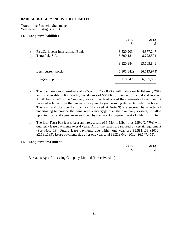Notes to the Financial Statements Year ended 31 August 2013

#### **11. Long-term liabilities**

|                               | o                                                    | 2013<br>\$             | 2012<br>\$             |
|-------------------------------|------------------------------------------------------|------------------------|------------------------|
| $\mathbf{i}$<br>$\mathbf{ii}$ | FirstCaribbean International Bank<br>Tetra Pak, S.A. | 3,520,203<br>5,800,181 | 4,377,247<br>8,728,594 |
|                               |                                                      | 9,320,384              | 13, 105, 841           |
|                               | Less: current portion                                | (6,101,342)            | (6,519,974)            |
|                               | Long-term portion                                    | 3,219,042              | 6,585,867              |
|                               |                                                      |                        |                        |

- i) The loan bears an interest rate of 7.05% (2012 7.05%), will mature on 16 February 2017 and is repayable in 60 monthly instalments of \$94,861 of blended principal and interest. At 31 August 2013, the Company was in breach of one of the covenants of the loan but received a letter from the lender subsequent to year waiving its rights under the breach. The loan and the overdraft facility (disclosed at Note 9) are secured by a letter of undertaking to provide the bank with a mortgage over the Company's assets, if called upon to do so and a guarantee endorsed by the parent company, Banks Holdings Limited.
- ii) The four Tetra Pak leases bear an interest rate of 3-Month Libor plus 2.5% (2.77%) with quarterly lease payments over 4 years. All of the leases are secured by certain equipment (See Note 13). Future lease payments due within one year are \$2,581,139 (2012 - \$2,581,139). Lease payments due after one year total \$3,219,042 (2012- \$6,147,455).

#### **12. Long-term investment**

|                                                            | 2013 | 2012 |
|------------------------------------------------------------|------|------|
| Barbados Agro Processing Company Limited (in receivership) |      |      |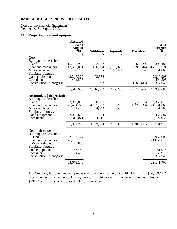Notes to the Financial Statements Year ended 31 August 2013

## **13. Property, plant and equipment**

|                                                                                                                                   | <b>Restated</b><br>At 31<br><b>August</b><br>2012<br>\$ | <b>Additions</b><br>S         | <b>Disposals</b>        | <b>Transfers</b>        | At 31<br><b>August</b><br>2013<br>\$ |
|-----------------------------------------------------------------------------------------------------------------------------------|---------------------------------------------------------|-------------------------------|-------------------------|-------------------------|--------------------------------------|
| Cost                                                                                                                              |                                                         |                               |                         |                         |                                      |
| Buildings on leasehold<br>land<br>Plant and machinery<br>Motor vehicles<br>Furniture, fixtures                                    | 15,122,934<br>47,557,861<br>92,286                      | 22,127<br>490,034             | (137, 372)<br>(40, 424) | 163,420<br>(2,099,244)  | 15,308,481<br>45,811,279<br>51,862   |
| and equipment                                                                                                                     | 2,246,370                                               | 103,538                       |                         |                         | 2,349,908                            |
| Containers<br>Construction-in-progress                                                                                            | 494,505                                                 | 501,093                       |                         | (183, 445)              | 494,505<br>317,648                   |
|                                                                                                                                   | 65,513,956                                              | 1,116,792                     | (177,796)               | 2,119,269               | 64,333,683                           |
| <b>Accumulated depreciation</b><br>Buildings on leasehold<br>land<br>Plant and machinery<br>Motor vehicles<br>Furniture, fixtures | 7,989,810<br>21,404,746<br>71,400                       | 378,080<br>4,155,952<br>4,042 | (132,793)<br>(23,580)   | (12,015)<br>(1,276,239) | 8,355,875<br>24,151,666<br>51,862    |
| and equipment<br>Containers                                                                                                       | 2,066,686<br>310,071                                    | 131,244<br>124,516            |                         |                         | 434,587<br>2,197,930                 |
|                                                                                                                                   | 31,842,713                                              | 4,793,834                     | (156, 373)              | (1,288,254)             | 35,191,920                           |
| Net book value<br>Buildings on leasehold<br>land<br>Plant and machinery<br>Motor vehicles                                         | 7,133,124<br>26, 153, 115<br>20,886                     |                               |                         |                         | 6,952,606<br>21,659,613              |
| Furniture, fixtures<br>and equipment<br>Containers<br>Construction-in-progress                                                    | 286,482<br>184,435                                      |                               |                         |                         | 151,978<br>59,918<br>317,648         |
|                                                                                                                                   | 33,671,243                                              |                               |                         |                         | 29, 141, 763                         |
|                                                                                                                                   |                                                         |                               |                         |                         |                                      |

The Company has plant and equipment with a net book value of \$12,742,114 (2012 - \$14,069,621) secured under a finance lease. During the year, machinery with a net book value amounting to \$831,015 was transferred to asset held for sale (note 23).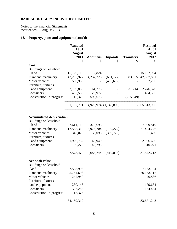Notes to the Financial Statements Year ended 31 August 2013

## **13. Property, plant and equipment (cont'd)**

|                                          | <b>Restated</b><br>At 31<br><b>August</b> |                  |                       |                  | <b>Restated</b><br>At 31<br><b>August</b> |
|------------------------------------------|-------------------------------------------|------------------|-----------------------|------------------|-------------------------------------------|
|                                          | 2011<br>\$                                | <b>Additions</b> | <b>Disposals</b>      | <b>Transfers</b> | 2012                                      |
| Cost                                     |                                           | \$               |                       | \$               | \$                                        |
| Buildings on leasehold                   |                                           |                  |                       |                  |                                           |
| land                                     | 15,120,110                                | 2,824            |                       |                  | 15,122,934                                |
| Plant and machinery                      | 43,292,927                                | 4,232,226        | (651, 127)            |                  | 683, 835 47, 557, 861                     |
| Motor vehicles                           | 590,968                                   |                  | (498, 682)            |                  | 92,286                                    |
| Furniture, fixtures                      |                                           |                  |                       |                  |                                           |
| and equipment                            | 2,150,880                                 | 64,276           |                       | 31,214           | 2,246,370                                 |
| Containers                               | 467,533                                   | 26,972           |                       |                  | 494,505                                   |
| Construction-in-progress                 | 115,373                                   | 599,676          |                       | (715,049)        |                                           |
|                                          | 61,737,791                                |                  | 4,925,974 (1,149,809) |                  | 65,513,956                                |
| <b>Accumulated depreciation</b>          |                                           |                  |                       |                  |                                           |
| Buildings on leasehold<br>land           | 7,611,112                                 | 378,698          |                       |                  | 7,989,810                                 |
| Plant and machinery                      | 17,538,319                                | 3,975,704        | (109, 277)            |                  | 21,404,746                                |
| Motor vehicles                           | 348,028                                   | 33,098           | (309, 726)            |                  | 71,400                                    |
| Furniture, fixtures                      |                                           |                  |                       |                  |                                           |
| and equipment                            | 1,920,737                                 | 145,949          |                       |                  | 2,066,686                                 |
| Containers                               | 160,276                                   | 149,795          |                       |                  | 310,071                                   |
|                                          |                                           |                  |                       |                  |                                           |
|                                          | 27,578,472                                | 4,683,244        | (419,003)             |                  | 31,842,713                                |
| Net book value<br>Buildings on leasehold |                                           |                  |                       |                  |                                           |
| land                                     | 7,508,998                                 |                  |                       |                  | 7,133,124                                 |
| Plant and machinery                      | 25,754,608                                |                  |                       |                  | 26,153,115                                |
| Motor vehicles                           | 242,940                                   |                  |                       |                  | 20,886                                    |
| Furniture, fixtures                      |                                           |                  |                       |                  |                                           |
| and equipment                            | 230,143                                   |                  |                       |                  | 179,684                                   |
| Containers                               | 307,257                                   |                  |                       |                  | 184,434                                   |
| Construction-in-progress                 | 115,373                                   |                  |                       |                  |                                           |
|                                          | 34,159,319                                |                  |                       |                  | 33,671,243                                |
|                                          |                                           |                  |                       |                  |                                           |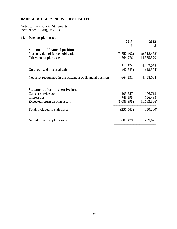Notes to the Financial Statements Year ended 31 August 2013

## **14. Pension plan asset**

|                                                             | 2013<br>S   | 2012<br>\$  |
|-------------------------------------------------------------|-------------|-------------|
| <b>Statement of financial position</b>                      |             |             |
| Present value of funded obligation                          | (9,852,402) | (9,918,452) |
| Fair value of plan assets                                   | 14,564,276  | 14,365,520  |
|                                                             | 4,711,874   | 4,447,068   |
| Unrecognized actuarial gains                                | (47, 643)   | (18,974)    |
| Net asset recognized in the statement of financial position | 4,664,231   | 4,428,094   |
| <b>Statement of comprehensive loss</b>                      |             |             |
| Current service cost                                        | 105,557     | 106,713     |
| Interest cost                                               | 749,295     | 726,483     |
| Expected return on plan assets                              | (1,089,895) | (1,163,396) |
| Total, included in staff costs                              | (235,043)   | (330, 200)  |
| Actual return on plan assets                                | 803,479     | 459,625     |
|                                                             |             |             |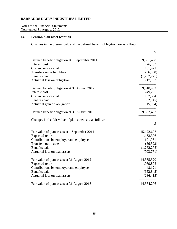Notes to the Financial Statements Year ended 31 August 2013

## **14. Pension plan asset (cont'd)**

Changes in the present value of the defined benefit obligation are as follows:

| Defined benefit obligation at 1 September 2011           | 9,631,468    |
|----------------------------------------------------------|--------------|
|                                                          |              |
| Interest cost                                            | 726,483      |
| Current service cost                                     | 161,421      |
| Transfers out - liabilities                              | (56, 398)    |
| Benefits paid                                            | (1,262,275)  |
| Actuarial loss on obligation                             | 717,753      |
| Defined benefit obligation at 31 August 2012             | 9,918,452    |
| Interest cost                                            | 749,295      |
| Current service cost                                     | 152,584      |
| Benefits paid                                            | (652, 845)   |
| Actuarial gain on obligation                             | (315,084)    |
| Defined benefit obligation at 31 August 2013             | 9,852,402    |
| Changes in the fair value of plan assets are as follows: |              |
|                                                          | \$           |
| Fair value of plan assets at 1 September 2011            | 15, 122, 607 |
| <b>Expected return</b>                                   | 1,163,396    |
| Contributions by employer and employee                   | 101,961      |
| Transfers out - assets                                   | (56, 398)    |
| Benefits paid                                            | (1,262,275)  |
| Actuarial loss on plan assets                            | (703, 771)   |
| Fair value of plan assets at 31 August 2012              | 14,365,520   |
| Expected return                                          | 1,089,895    |
| Contributions by employer and employee                   | 48,121       |
| Benefits paid                                            | (652, 845)   |
| Actuarial loss on plan assets                            | (286, 415)   |
| Fair value of plan assets at 31 August 2013              | 14,564,276   |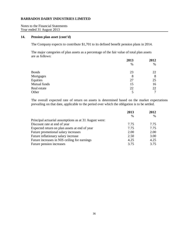Notes to the Financial Statements Year ended 31 August 2013

#### **14. Pension plan asset (cont'd)**

The Company expects to contribute \$1,701 to its defined benefit pension plans in 2014.

The major categories of plan assets as a percentage of the fair value of total plan assets are as follows:

|              | 2013 | 2012 |
|--------------|------|------|
|              | $\%$ | $\%$ |
| <b>Bonds</b> | 23   | 22   |
| Mortgages    | 8    | 8    |
| Equities     | 27   | 25   |
| Mutual funds | 15   | 16   |
| Real estate  | 22   | 22   |
| Other        | 5    | ⇁    |

The overall expected rate of return on assets is determined based on the market expectations prevailing on that date, applicable to the period over which the obligation is to be settled.

|                                                       | 2013          | 2012 |
|-------------------------------------------------------|---------------|------|
|                                                       | $\frac{0}{0}$ | %    |
| Principal actuarial assumptions as at 31 August were: |               |      |
| Discount rate at end of year                          | 7.75          | 7.75 |
| Expected return on plan assets at end of year         | 7.75          | 7.75 |
| Future promotional salary increases                   | 2.00          | 2.00 |
| Future inflationary salary increase                   | 2.50          | 3.00 |
| Future increases in NIS ceiling for earnings          | 4.25          | 4.25 |
| Future pension increases                              | 3.75          | 3.75 |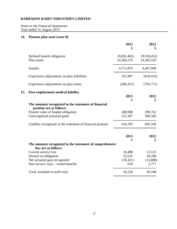Notes to the Financial Statements Year ended 31 August 2013

## **14. Pension plan asset (cont'd)**

|     |                                                                                  | 2013<br>\$                | 2012<br>\$                |
|-----|----------------------------------------------------------------------------------|---------------------------|---------------------------|
|     | Defined benefit obligation<br>Plan assets                                        | (9,852,402)<br>14,564,276 | (9,918,452)<br>14,365,520 |
|     | <b>Surplus</b>                                                                   | 4,711,874                 | 4,447,068                 |
|     | Experience adjustments on plan liabilities                                       | 251,987                   | (618, 433)                |
|     | Experience adjustments on plan assets                                            | (286, 415)                | (703, 771)                |
| 15. | <b>Post-employment medical liability</b>                                         | 2013<br>\$                | 2012<br>\$                |
|     | The amounts recognized in the statement of financial<br>position are as follows: |                           |                           |
|     | Present value of funded obligation<br>Unrecognized actuarial gains               | 288,908<br>321,387        | 298,762<br>306,566        |
|     | Liability recognized in the statement of financial position                      | 610,295                   | 605,328                   |
|     |                                                                                  | 2013<br>\$                | 2012<br>\$                |
|     | The amounts recognized in the statement of comprehensive<br>loss are as follows: |                           |                           |
|     | Current service cost                                                             | 10,498                    | 13,125                    |
|     | Interest on obligation                                                           | 23,531                    | 28,180                    |
|     | Net actuarial gain recognized                                                    | (18, 421)                 | (13,888)                  |
|     | Past service costs - vested benefits                                             | 618                       | 2,771                     |
|     | Total, included in staff costs                                                   | 16,226                    | 30,188                    |
|     |                                                                                  |                           |                           |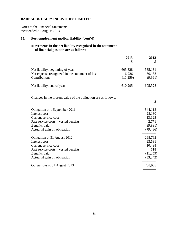Notes to the Financial Statements Year ended 31 August 2013

## **15. Post-employment medical liability (cont'd)**

## **Movements in the net liability recognized in the statement of financial position are as follows:**

|                                                                | 2013     | 2012      |
|----------------------------------------------------------------|----------|-----------|
|                                                                | \$.      | \$        |
| Net liability, beginning of year                               | 605,328  | 585,131   |
| Net expense recognized in the statement of loss                | 16,226   | 30,188    |
| Contributions                                                  | (11,259) | (9,991)   |
| Net liability, end of year                                     | 610,295  | 605,328   |
| Changes in the present value of the obligation are as follows: |          |           |
|                                                                |          | \$        |
| Obligation at 1 September 2011                                 |          | 344,113   |
| Interest cost                                                  |          | 28,180    |
| Current service cost                                           |          | 13,125    |
| Past service costs – vested benefits                           |          | 2,771     |
| Benefits paid                                                  |          | (9,991)   |
| Actuarial gain on obligation                                   |          | (79, 436) |
| Obligation at 31 August 2012                                   |          | 298,762   |
| Interest cost                                                  |          | 23,531    |
| Current service cost                                           |          | 10,498    |
| Past service costs – vested benefits                           |          | 618       |
| Benefits paid                                                  |          | (11,259)  |
| Actuarial gain on obligation                                   |          | (33,242)  |
| Obligations at 31 August 2013                                  |          | 288,908   |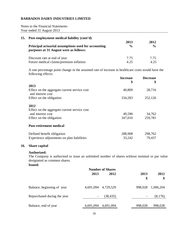Notes to the Financial Statements Year ended 31 August 2013

| 15. Post-employment medical liability (cont'd)                                                | 2013          | 2012          |
|-----------------------------------------------------------------------------------------------|---------------|---------------|
| Principal actuarial assumptions used for accounting<br>purposes at 31 August were as follows: | $\frac{6}{9}$ | $\frac{6}{9}$ |
| Discount rate at end of year                                                                  | 7.75          | 7.75          |
| Future medical claims/premium inflation                                                       | 4.25          | 4 25          |

A one percentage point change in the assumed rate of increase in healthcare costs would have the following effects:

|                                                                   | <b>Increase</b><br>\$ | <b>Decrease</b><br>\$ |
|-------------------------------------------------------------------|-----------------------|-----------------------|
| 2013                                                              |                       |                       |
| Effect on the aggregate current service cost<br>and interest cost | 40,809                | 28,716                |
| Effect on the obligation                                          | 334,283               | 252,126               |
| 2012                                                              |                       |                       |
| Effect on the aggregate current service cost                      |                       |                       |
| and interest cost                                                 | 49,596                | 34,762                |
| Effect on the obligation                                          | 347,010               | 259,781               |
| <b>Post-retirement medical</b>                                    |                       |                       |
| Defined benefit obligation                                        | 288,908               | 298,762               |
| Experience adjustments on plan liabilities                        | 33,242                | 79,437                |

## **16. Share capital**

#### **Authorized:**

The Company is authorized to issue an unlimited number of shares without nominal or par value designated as common shares.

**Issued:**

|                             | <b>Number of Shares</b> |           |            |            |
|-----------------------------|-------------------------|-----------|------------|------------|
|                             | 2013                    | 2012      | 2013<br>\$ | 2012<br>\$ |
| Balance, beginning of year  | 4,691,094               | 4,729,529 | 998,028    | 1,006,204  |
| Repurchased during the year |                         | (38, 435) |            | (8,176)    |
| Balance, end of year        | 4,691,094               | 4,691,094 | 998,028    | 998,028    |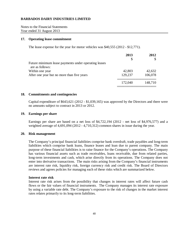Notes to the Financial Statements Year ended 31 August 2013

#### **17. Operating lease commitment**

The lease expense for the year for motor vehicles was \$40,555 (2012 - \$12,771).

|                                                                         | 2013    | 2012         |
|-------------------------------------------------------------------------|---------|--------------|
|                                                                         |         | $\mathbb{S}$ |
| Future minimum lease payments under operating leases<br>are as follows: |         |              |
| Within one year                                                         | 42,803  | 42,632       |
| After one year but no more than five years                              | 129,237 | 106,078      |
|                                                                         | 172,040 | 148,710      |
|                                                                         |         |              |

#### **18. Commitments and contingencies**

Capital expenditure of \$643,621 (2012 - \$1,039,165) was approved by the Directors and there were no amounts subject to contract in 2013 or 2012.

#### **19. Earnings per share**

Earnings per share are based on a net loss of \$4,722,194 (2012 - net loss of \$4,976,577) and a weighted average of 4,691,094 (2012 - 4,710,312) common shares in issue during the year.

#### **20. Risk management**

The Company's principal financial liabilities comprise bank overdraft, trade payables and long-term liabilities which comprise bank loans, finance leases and loan due to parent company. The main purpose of these financial liabilities is to raise finance for the Company's operations. The Company has various financial assets such as trade receivables, loans receivable, due from related parties, long-term investments and cash, which arise directly from its operations. The Company does not enter into derivative transactions. The main risks arising from the Company's financial instruments are interest rate risk, liquidity risk, foreign currency risk and credit risk. The Board of Directors reviews and agrees policies for managing each of these risks which are summarized below.

#### **Interest rate risk**

Interest rate risk arises from the possibility that changes in interest rates will affect future cash flows or the fair values of financial instruments. The Company manages its interest rate exposure by using a variable rate debt. The Company's exposure to the risk of changes in the market interest rates relates primarily to its long-term liabilities.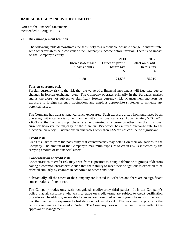Notes to the Financial Statements Year ended 31 August 2013

#### **20. Risk management (cont'd)**

The following table demonstrates the sensitivity to a reasonable possible change in interest rate, with other variables held constant of the Company's income before taxation. There is no impact on the Company's equity.

|                          | 2013                    | 2012                    |  |
|--------------------------|-------------------------|-------------------------|--|
| <b>Increase/decrease</b> | <b>Effect on profit</b> | <b>Effect on profit</b> |  |
| in basis points          | before tax              | before tax              |  |
|                          |                         |                         |  |
| $+ -50$                  | 71,598                  | 85,210                  |  |

#### **Foreign currency risk**

Foreign currency risk is the risk that the value of a financial instrument will fluctuate due to changes in foreign exchange rates. The Company operates primarily in the Barbados market and is therefore not subject to significant foreign currency risk. Management monitors its exposure to foreign currency fluctuations and employs appropriate strategies to mitigate any potential losses.

The Company has transactional currency exposures. Such exposure arises from purchases by an operating unit in currencies other than the unit's functional currency. Approximately 57% (2012 - 65%) of the Company's purchases are denominated in a currency other than the functional currency however the majority of these are in US\$ which has a fixed exchange rate to the functional currency. Fluctuations in currencies other than US\$ are not considered significant.

#### **Credit risk**

Credit risk arises from the possibility that counterparties may default on their obligations to the Company. The amount of the Company's maximum exposure to credit risk is indicated by the carrying amount of its financial assets.

#### **Concentration of credit risk**

Concentrations of credit risk may arise from exposures to a single debtor or to groups of debtors having a common characteristic such that their ability to meet their obligations is expected to be affected similarly by changes in economic or other conditions.

Substantially, all the assets of the Company are located in Barbados and there are no significant concentrations of credit risk.

The Company trades only with recognized, creditworthy third parties. It is the Company's policy that all customers who wish to trade on credit terms are subject to credit verification procedures. In addition, receivable balances are monitored on an ongoing basis with the result that the Company's exposure to bad debts is not significant. The maximum exposure is the carrying amount as disclosed at Note 5. The Company does not offer credit terms without the approval of Management.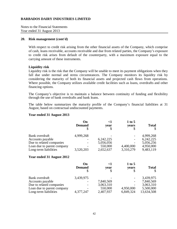Notes to the Financial Statements Year ended 31 August 2013

#### **20. Risk management (cont'd)**

With respect to credit risk arising from the other financial assets of the Company, which comprise of cash, loans receivable, accounts receivable and due from related parties, the Company's exposure to credit risk arises from default of the counterparty, with a maximum exposure equal to the carrying amount of these instruments.

#### **Liquidity risk**

Liquidity risk is the risk that the Company will be unable to meet its payment obligations when they fall due under normal and stress circumstances. The Company monitors its liquidity risk by considering the maturity of both its financial assets and projected cash flows from operations. Where possible, the Company utilizes available credit facilities such as loans, overdrafts and other financing options.

The Company's objective is to maintain a balance between continuity of funding and flexibility through the use of bank overdrafts and bank loans.

The table below summarizes the maturity profile of the Company's financial liabilities at 31 August, based on contractual undiscounted payments.

#### **Year ended 31 August 2013**

|                                    | On<br><b>Demand</b><br>S | <1<br>year      | 1 to 5<br><b>vears</b> | <b>Total</b>           |
|------------------------------------|--------------------------|-----------------|------------------------|------------------------|
| Bank overdraft<br>Accounts payable | 4,999,268                | 6,242,225       |                        | 4,999,268<br>6,242,225 |
| Due to related companies           |                          | 5,056,056       |                        | 5,056,256              |
| Loan due to parent company         |                          | 550,000         | 4,400,000              | 4,950,000              |
| Long-term liabilities              | 3,520,203                | 2,652,637       | 3,310,279              | 9,483,119              |
| Year ended 31 August 2012          |                          |                 |                        |                        |
|                                    | On<br><b>Demand</b><br>S | <1<br>year<br>S | 1 to 5<br>years        | <b>Total</b>           |
| Bank overdraft                     | 3,439,975                |                 |                        | 3,439,975              |
| Accounts payable                   |                          | 7,840,569       |                        | 7,840,569              |
| Due to related companies           |                          | 3,063,310       |                        | 3,063,310              |
| Loan due to parent company         |                          | 550,000         | 4,950,000              | 5,500,000              |
| Long-term liabilities              | 4,377,247                | 2,407,937       | 6,849,324              | 13,634,508             |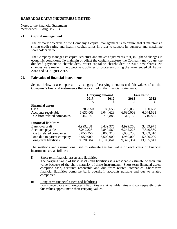Notes to the Financial Statements Year ended 31 August 2013

#### **21. Capital management**

The primary objective of the Company's capital management is to ensure that it maintains a strong credit rating and healthy capital ratios in order to support its business and maximize shareholder value.

The Company manages its capital structure and makes adjustments to it, in light of changes in economic conditions. To maintain or adjust the capital structure, the Company may adjust the dividend payment to shareholders, return capital to shareholders or issue new shares. No changes were made in the objectives, policies or processes during the years ended 31 August 2013 and 31 August 2012.

#### **22. Fair value of financial instruments**

Set out below is a comparison by category of carrying amounts and fair values of all the Company's financial instruments that are carried in the financial statements:

|                              | <b>Carrying amount</b> |              | <b>Fair value</b> |              |
|------------------------------|------------------------|--------------|-------------------|--------------|
|                              | 2013                   | 2012         | 2013              | 2012         |
|                              | \$                     | \$           | \$                |              |
| <b>Financial assets</b>      |                        |              |                   |              |
| Cash                         | 286,050                | 180,658      | 286,050           | 180,658      |
| Accounts receivable          | 6,630,003              | 6,044,628    | 6,630,003         | 6,044,628    |
| Due from related companies   | 315,130                | 716,885      | 315,130           | 716,885      |
| <b>Financial liabilities</b> |                        |              |                   |              |
| Bank overdraft               | 4,999,268              | 3,439,975    | 4,999,268         | 3,439,975    |
| Accounts payable             | 6,242,225              | 7,840,569    | 6,242,225         | 7,840,569    |
| Due to related companies     | 5,056,256              | 3,063,310    | 5,056,256         | 3,063,310    |
| Loan due to parent company   | 4,950,000              | 5,500,000    | 4,950,000         | 5,500,000    |
| Long-term liabilities        | 9,320,384              | 13, 105, 841 | 9,320,384         | 13, 105, 841 |

The methods and assumptions used to estimate the fair value of each class of financial instruments are as follows:

- i) Short-term financial assets and liabilities The carrying value of these assets and liabilities is a reasonable estimate of their fair value because of the short maturity of these instruments. Short-term financial assets comprise cash, accounts receivable and due from related companies. Short-term financial liabilities comprise bank overdraft, accounts payable and due to related companies.
- ii) Long-term financial assets and liabilities Loans receivable and long-term liabilities are at variable rates and consequently their fair values approximate their carrying values.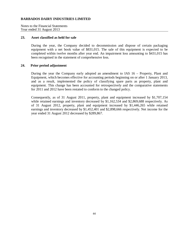Notes to the Financial Statements Year ended 31 August 2013

#### **23. Asset classified as held for sale**

During the year, the Company decided to decommission and dispose of certain packaging equipment with a net book value of \$831,015. The sale of this equipment is expected to be completed within twelve months after year end. An impairment loss amounting to \$431,015 has been recognised in the statement of comprehensive loss.

#### **24. Prior period adjustment**

During the year the Company early adopted an amendment to IAS 16 – Property, Plant and Equipment, which becomes effective for accounting periods beginning on or after 1 January 2013, and as a result, implemented the policy of classifying spare parts as property, plant and equipment. This change has been accounted for retrospectively and the comparative statements for 2011 and 2012 have been restated to conform to the changed policy.

Consequently, as of 31 August 2011, property, plant and equipment increased by \$1,707,154 while retained earnings and inventory decreased by \$1,162,534 and \$2,869,688 respectively. As of 31 August 2012, property, plant and equipment increased by \$1,446,265 while retained earnings and inventory decreased by \$1,452,401 and \$2,898,666 respectively. Net income for the year ended 31 August 2012 decreased by \$289,867.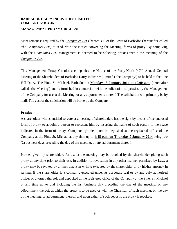## **BARBADOS DAIRY INDUSTRIES LIMITED COMPANY NO: 33151 MANAGEMENT PROXY CIRCULAR**

Management is required by the *Companies Act* Chapter 308 of the Laws of Barbados (hereinafter called 'the *Companies Act'*) to send, with the Notice convening the Meeting, forms of proxy. By complying with the *Companies Act*, Management is deemed to be soliciting proxies within the meaning of the *Companies Act*.

This Management Proxy Circular accompanies the Notice of the Forty-Ninth (49<sup>th</sup>) Annual General Meeting of the Shareholders of Barbados Dairy Industries Limited ('the Company') to be held at the Pine Hill Dairy, The Pine, St. Michael, Barbados on **Monday 13 January 2014 at 10.00 a.m.** (hereinafter called 'the Meeting') and is furnished in connection with the solicitation of proxies by the Management of the Company for use at the Meeting, or any adjournments thereof. The solicitation will primarily be by mail. The cost of the solicitation will be borne by the Company.

#### **Proxies**

A shareholder who is entitled to vote at a meeting of shareholders has the right by means of the enclosed form of proxy to appoint a person to represent him by inserting the name of such person in the space indicated in the form of proxy. Completed proxies must be deposited at the registered office of the Company at the Pine, St. Michael at any time up to **4:15 p.m. on Thursday 9 January 2014** being two (2) business days preceding the day of the meeting, or any adjournment thereof.

Proxies given by shareholders for use at the meeting may be revoked by the shareholder giving such proxy at any time prior to their use. In addition to revocation in any other manner permitted by Law, a proxy may be revoked by an instrument in writing executed by the shareholder or by his/her attorney in writing; if the shareholder is a company, executed under its corporate seal or by any duly authorised officer or attorney thereof, and deposited at the registered office of the Company at the Pine, St. Michael at any time up to and including the last business day preceding the day of the meeting, or any adjournment thereof, at which the proxy is to be used or with the Chairman of such meeting, on the day of the meeting, or adjournment thereof, and upon either of such deposits the proxy is revoked.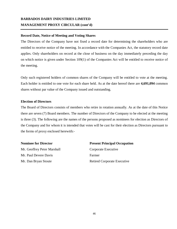# **BARBADOS DAIRY INDUSTRIES LIMITED MANAGEMENT PROXY CIRCULAR (cont'd)**

## **Record Date, Notice of Meeting and Voting Shares**

The Directors of the Company have not fixed a record date for determining the shareholders who are entitled to receive notice of the meeting. In accordance with the Companies Act, the statutory record date applies. Only shareholders on record at the close of business on the day immediately preceding the day on which notice is given under Section 109(1) of the Companies Act will be entitled to receive notice of the meeting.

Only such registered holders of common shares of the Company will be entitled to vote at the meeting. Each holder is entitled to one vote for each share held. As at the date hereof there are **4,691,094** common shares without par value of the Company issued and outstanding.

#### **Election of Directors**

The Board of Directors consists of members who retire in rotation annually. As at the date of this Notice there are seven (7) Board members. The number of Directors of the Company to be elected at the meeting is three (3). The following are the names of the persons proposed as nominees for election as Directors of the Company and for whom it is intended that votes will be cast for their election as Directors pursuant to the forms of proxy enclosed herewith:-

Mr. Geoffrey Peter Marshall Corporate Executive Mr. Paul Devere Davis Farmer

**Nominee for Director Present Principal Occupation** Mr. Dan Bryan Stoute Retired Corporate Executive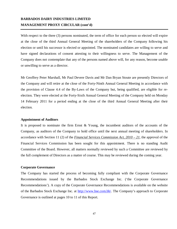# **BARBADOS DAIRY INDUSTRIES LIMITED MANAGEMENT PROXY CIRCULAR (cont'd)**

With respect to the three (3) persons nominated, the term of office for each person so elected will expire at the close of the third Annual General Meeting of the shareholders of the Company following his election or until his successor is elected or appointed. The nominated candidates are willing to serve and have signed declarations of consent attesting to their willingness to serve. The Management of the Company does not contemplate that any of the persons named above will, for any reason, become unable or unwilling to serve as a director.

Mr Geoffrey Peter Marshall, Mr Paul Devere Davis and Mr Dan Bryan Stoute are presently Directors of the Company and will retire at the close of the Forty-Ninth Annual General Meeting in accordance with the provision of Clause 4.4 of the By-Laws of the Company but, being qualified, are eligible for reelection. They were elected at the Forty-Sixth Annual General Meeting of the Company held on Monday 14 February 2011 for a period ending at the close of the third Annual General Meeting after their election.

#### **Appointment of Auditors**

It is proposed to nominate the firm Ernst & Young, the incumbent auditors of the accounts of the Company, as auditors of the Company to hold office until the next annual meeting of shareholders. In accordance with Section 11 (2) of the *Financial Services Commission Act, 2010 – 21*, the approval of the Financial Services Commission has been sought for this appointment. There is no standing Audit Committee of the Board. However, all matters normally reviewed by such a Committee are reviewed by the full complement of Directors as a matter of course. This may be reviewed during the coming year.

#### **Corporate Governance**

The Company has started the process of becoming fully compliant with the Corporate Governance Recommendations issued by the Barbados Stock Exchange Inc. ('the Corporate Governance Recommendations'). A copy of the Corporate Governance Recommendations is available on the website of the Barbados Stock Exchange Inc. at [http://www.bse.com.bb/.](http://www.bse.com.bb/) The Company's approach to Corporate Governance is outlined at pages 10 to 11 of this Report.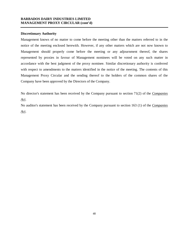## **BARBADOS DAIRY INDUSTRIES LIMITED MANAGEMENT PROXY CIRCULAR (cont'd)**

### **Discretionary Authority**

Management knows of no matter to come before the meeting other than the matters referred to in the notice of the meeting enclosed herewith. However, if any other matters which are not now known to Management should properly come before the meeting or any adjournment thereof, the shares represented by proxies in favour of Management nominees will be voted on any such matter in accordance with the best judgment of the proxy nominee. Similar discretionary authority is conferred with respect to amendments to the matters identified in the notice of the meeting. The contents of this Management Proxy Circular and the sending thereof to the holders of the common shares of the Company have been approved by the Directors of the Company.

No director's statement has been received by the Company pursuant to section 71(2) of the *Companies Act*.

No auditor's statement has been received by the Company pursuant to section 163 (1) of the *Companies Act*.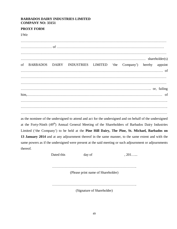## **BARBADOS DAIRY INDUSTRIES LIMITED COMPANY NO: 33151**

## **PROXY FORM**

I/We

……………………………………………………………………………………………………………… ……………………… of ………………………………………………………………………………… ……………………………………………………………………………………………………………… ……………………………………………………………………………………………… shareholder(s) of BARBADOS DAIRY INDUSTRIES LIMITED 'the Company') hereby appoint …………………………………………………………………………………………………………… of ……………………………………………………………………………………………………………… ……………………………………………………………………………………………………………… ………………………………………………………………………………………………….. or, failing him,……………………………………………………………………………………………………… of ………………………………………………………………………………………………………………. ………………………………………………………………………………………………………………. …………………………….………………………………………………………………………………… as the nominee of the undersigned to attend and act for the undersigned and on behalf of the undersigned at the Forty-Ninth (49<sup>th</sup>) Annual General Meeting of the Shareholders of Barbados Dairy Industries Limited ('the Company') to be held at the **Pine Hill Dairy, The Pine, St. Michael, Barbados on 13 January 2014** and at any adjournment thereof in the same manner, to the same extent and with the same powers as if the undersigned were present at the said meeting or such adjournment or adjournments thereof.

Dated this day of , 201…...

(Please print name of Shareholder)

……………………………………………………………….

(Signature of Shareholder)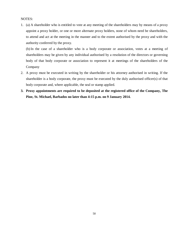#### NOTES:

1. (a) A shareholder who is entitled to vote at any meeting of the shareholders may by means of a proxy appoint a proxy holder, or one or more alternate proxy holders, none of whom need be shareholders, to attend and act at the meeting in the manner and to the extent authorised by the proxy and with the authority conferred by the proxy.

(b) In the case of a shareholder who is a body corporate or association, votes at a meeting of shareholders may be given by any individual authorised by a resolution of the directors or governing body of that body corporate or association to represent it at meetings of the shareholders of the Company

- 2. A proxy must be executed in writing by the shareholder or his attorney authorised in writing. If the shareholder is a body corporate, the proxy must be executed by the duly authorised officer(s) of that body corporate and, where applicable, the seal or stamp applied.
- **3. Proxy appointments are required to be deposited at the registered office of the Company, The Pine, St. Michael, Barbados no later than 4:15 p.m. on 9 January 2014.**